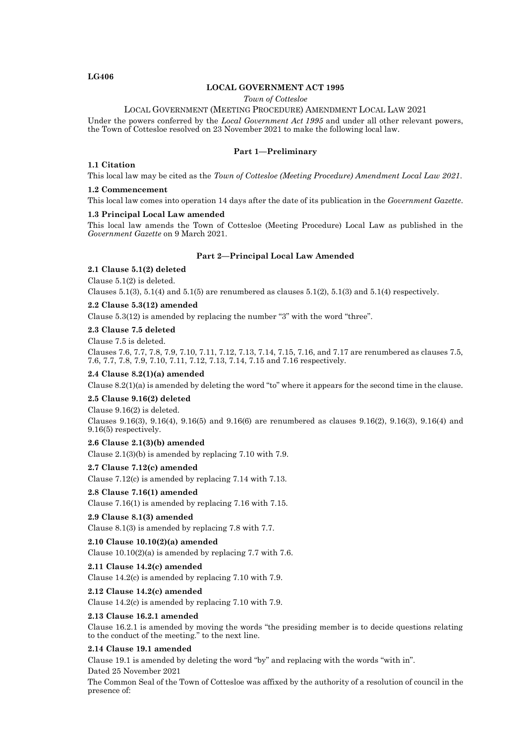## **LG406**

# **LOCAL GOVERNMENT ACT 1995**

*Town of Cottesloe*

LOCAL GOVERNMENT (MEETING PROCEDURE) AMENDMENT LOCAL LAW 2021

Under the powers conferred by the *Local Government Act 1995* and under all other relevant powers, the Town of Cottesloe resolved on 23 November 2021 to make the following local law.

# **Part 1—Preliminary**

#### **1.1 Citation**

This local law may be cited as the *Town of Cottesloe (Meeting Procedure) Amendment Local Law 2021*.

#### **1.2 Commencement**

This local law comes into operation 14 days after the date of its publication in the *Government Gazette*.

#### **1.3 Principal Local Law amended**

This local law amends the Town of Cottesloe (Meeting Procedure) Local Law as published in the *Government Gazette* on 9 March 2021.

### **Part 2—Principal Local Law Amended**

# **2.1 Clause 5.1(2) deleted**

Clause 5.1(2) is deleted.

Clauses  $5.1(3)$ ,  $5.1(4)$  and  $5.1(5)$  are renumbered as clauses  $5.1(2)$ ,  $5.1(3)$  and  $5.1(4)$  respectively.

### **2.2 Clause 5.3(12) amended**

Clause  $5.3(12)$  is amended by replacing the number "3" with the word "three".

**2.3 Clause 7.5 deleted**

Clause 7.5 is deleted.

Clauses 7.6, 7.7, 7.8, 7.9, 7.10, 7.11, 7.12, 7.13, 7.14, 7.15, 7.16, and 7.17 are renumbered as clauses 7.5, 7.6, 7.7, 7.8, 7.9, 7.10, 7.11, 7.12, 7.13, 7.14, 7.15 and 7.16 respectively.

### **2.4 Clause 8.2(1)(a) amended**

Clause  $8.2(1)(a)$  is amended by deleting the word "to" where it appears for the second time in the clause.

## **2.5 Clause 9.16(2) deleted**

Clause 9.16(2) is deleted.

Clauses 9.16(3), 9.16(4), 9.16(5) and 9.16(6) are renumbered as clauses 9.16(2), 9.16(3), 9.16(4) and 9.16(5) respectively.

**2.6 Clause 2.1(3)(b) amended**

Clause 2.1(3)(b) is amended by replacing 7.10 with 7.9.

**2.7 Clause 7.12(c) amended**

Clause 7.12(c) is amended by replacing 7.14 with 7.13.

**2.8 Clause 7.16(1) amended** Clause 7.16(1) is amended by replacing 7.16 with 7.15.

**2.9 Clause 8.1(3) amended** Clause 8.1(3) is amended by replacing 7.8 with 7.7.

**2.10 Clause 10.10(2)(a) amended** Clause  $10.10(2)(a)$  is amended by replacing 7.7 with 7.6.

**2.11 Clause 14.2(c) amended** Clause 14.2(c) is amended by replacing 7.10 with 7.9.

**2.12 Clause 14.2(c) amended** Clause 14.2(c) is amended by replacing 7.10 with 7.9.

#### **2.13 Clause 16.2.1 amended**

Clause 16.2.1 is amended by moving the words "the presiding member is to decide questions relating to the conduct of the meeting." to the next line.

### **2.14 Clause 19.1 amended**

Clause 19.1 is amended by deleting the word "by" and replacing with the words "with in".

Dated 25 November 2021

The Common Seal of the Town of Cottesloe was affixed by the authority of a resolution of council in the presence of: